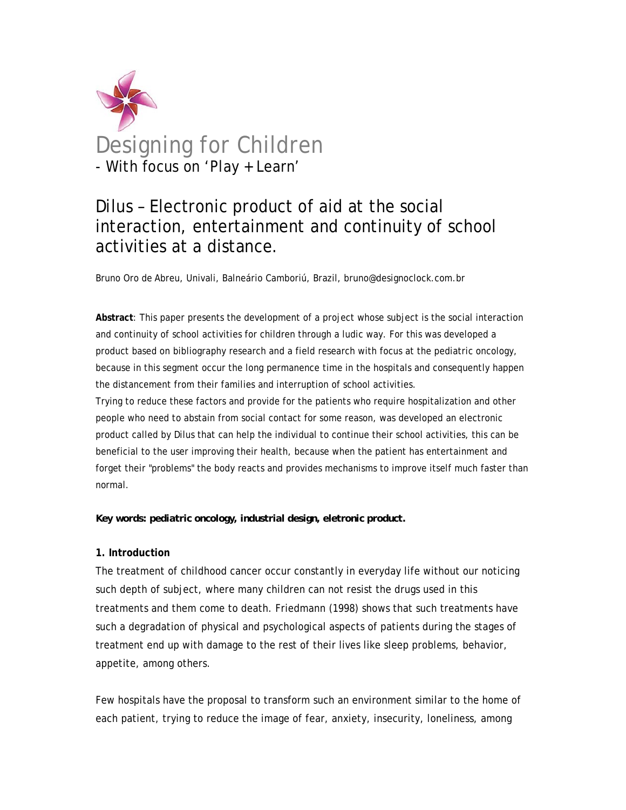

# Dilus – Electronic product of aid at the social interaction, entertainment and continuity of school activities at a distance.

Bruno Oro de Abreu, Univali, Balneário Camboriú, Brazil, bruno@designoclock.com.br

**Abstract**: This paper presents the development of a project whose subject is the social interaction and continuity of school activities for children through a ludic way. For this was developed a product based on bibliography research and a field research with focus at the pediatric oncology, because in this segment occur the long permanence time in the hospitals and consequently happen the distancement from their families and interruption of school activities.

Trying to reduce these factors and provide for the patients who require hospitalization and other people who need to abstain from social contact for some reason, was developed an electronic product called by Dilus that can help the individual to continue their school activities, this can be beneficial to the user improving their health, because when the patient has entertainment and forget their "problems" the body reacts and provides mechanisms to improve itself much faster than normal.

*Key words: pediatric oncology, industrial design, eletronic product.* 

## **1. Introduction**

The treatment of childhood cancer occur constantly in everyday life without our noticing such depth of subject, where many children can not resist the drugs used in this treatments and them come to death. Friedmann (1998) shows that such treatments have such a degradation of physical and psychological aspects of patients during the stages of treatment end up with damage to the rest of their lives like sleep problems, behavior, appetite, among others.

Few hospitals have the proposal to transform such an environment similar to the home of each patient, trying to reduce the image of fear, anxiety, insecurity, loneliness, among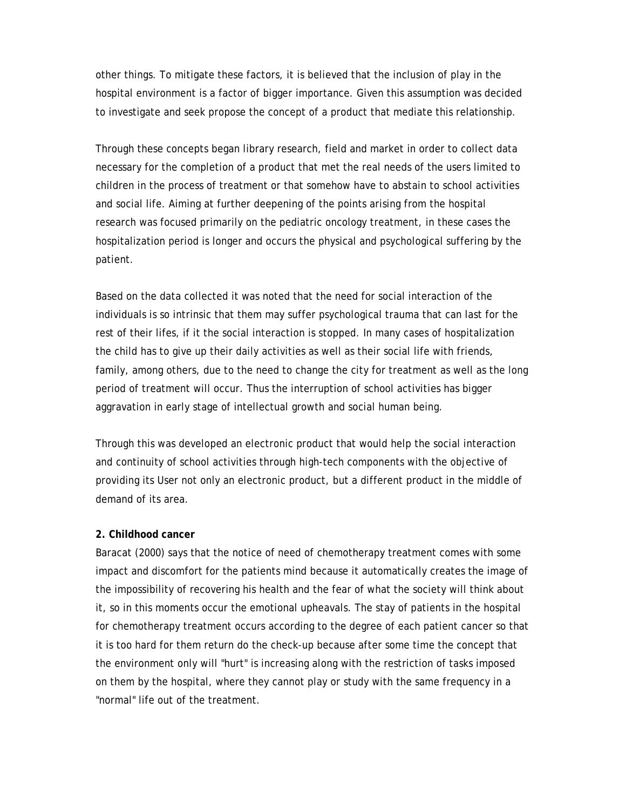other things. To mitigate these factors, it is believed that the inclusion of play in the hospital environment is a factor of bigger importance. Given this assumption was decided to investigate and seek propose the concept of a product that mediate this relationship.

Through these concepts began library research, field and market in order to collect data necessary for the completion of a product that met the real needs of the users limited to children in the process of treatment or that somehow have to abstain to school activities and social life. Aiming at further deepening of the points arising from the hospital research was focused primarily on the pediatric oncology treatment, in these cases the hospitalization period is longer and occurs the physical and psychological suffering by the patient.

Based on the data collected it was noted that the need for social interaction of the individuals is so intrinsic that them may suffer psychological trauma that can last for the rest of their lifes, if it the social interaction is stopped. In many cases of hospitalization the child has to give up their daily activities as well as their social life with friends, family, among others, due to the need to change the city for treatment as well as the long period of treatment will occur. Thus the interruption of school activities has bigger aggravation in early stage of intellectual growth and social human being.

Through this was developed an electronic product that would help the social interaction and continuity of school activities through high-tech components with the objective of providing its User not only an electronic product, but a different product in the middle of demand of its area.

#### **2. Childhood cancer**

Baracat (2000) says that the notice of need of chemotherapy treatment comes with some impact and discomfort for the patients mind because it automatically creates the image of the impossibility of recovering his health and the fear of what the society will think about it, so in this moments occur the emotional upheavals. The stay of patients in the hospital for chemotherapy treatment occurs according to the degree of each patient cancer so that it is too hard for them return do the check-up because after some time the concept that the environment only will "hurt" is increasing along with the restriction of tasks imposed on them by the hospital, where they cannot play or study with the same frequency in a "normal" life out of the treatment.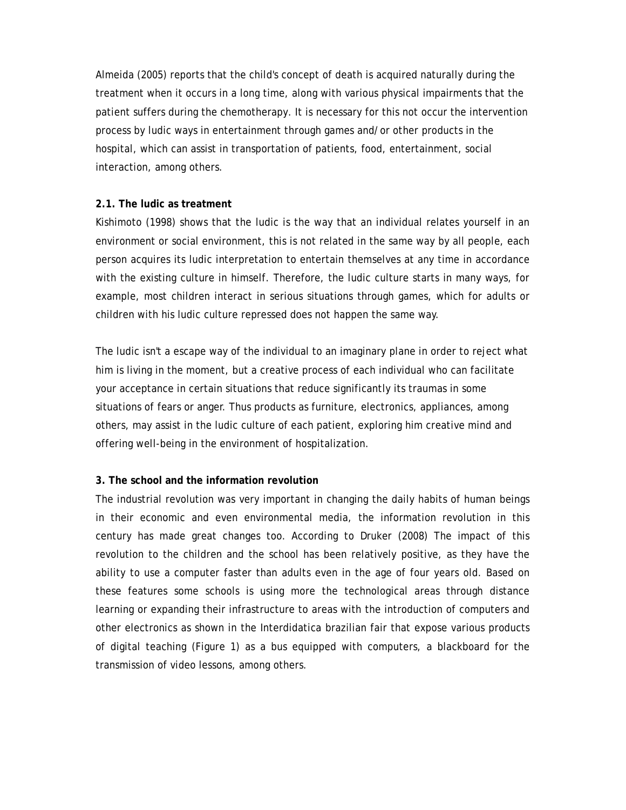Almeida (2005) reports that the child's concept of death is acquired naturally during the treatment when it occurs in a long time, along with various physical impairments that the patient suffers during the chemotherapy. It is necessary for this not occur the intervention process by ludic ways in entertainment through games and/or other products in the hospital, which can assist in transportation of patients, food, entertainment, social interaction, among others.

#### **2.1. The ludic as treatment**

Kishimoto (1998) shows that the ludic is the way that an individual relates yourself in an environment or social environment, this is not related in the same way by all people, each person acquires its ludic interpretation to entertain themselves at any time in accordance with the existing culture in himself. Therefore, the ludic culture starts in many ways, for example, most children interact in serious situations through games, which for adults or children with his ludic culture repressed does not happen the same way.

The ludic isn't a escape way of the individual to an imaginary plane in order to reject what him is living in the moment, but a creative process of each individual who can facilitate your acceptance in certain situations that reduce significantly its traumas in some situations of fears or anger. Thus products as furniture, electronics, appliances, among others, may assist in the ludic culture of each patient, exploring him creative mind and offering well-being in the environment of hospitalization.

## **3. The school and the information revolution**

The industrial revolution was very important in changing the daily habits of human beings in their economic and even environmental media, the information revolution in this century has made great changes too. According to Druker (2008) The impact of this revolution to the children and the school has been relatively positive, as they have the ability to use a computer faster than adults even in the age of four years old. Based on these features some schools is using more the technological areas through distance learning or expanding their infrastructure to areas with the introduction of computers and other electronics as shown in the Interdidatica brazilian fair that expose various products of digital teaching (Figure 1) as a bus equipped with computers, a blackboard for the transmission of video lessons, among others.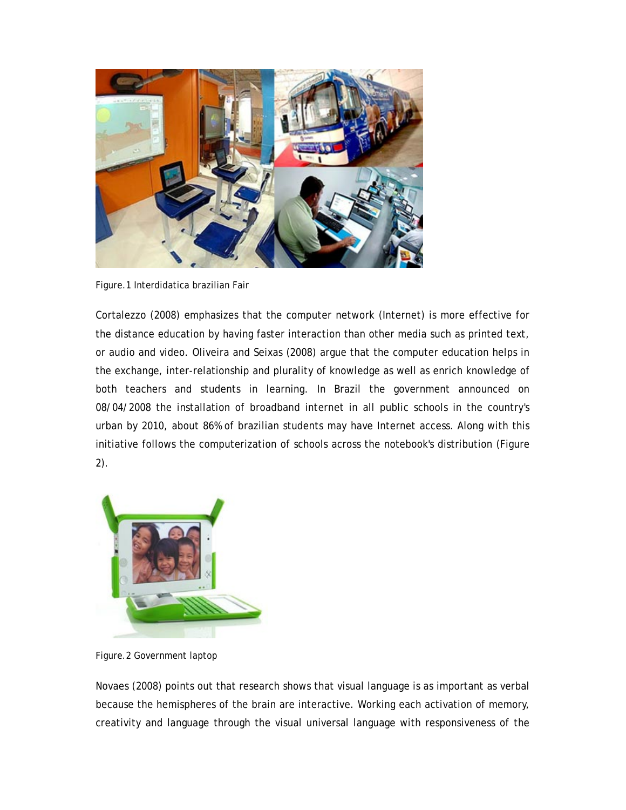

Figure.1 Interdidatica brazilian Fair

Cortalezzo (2008) emphasizes that the computer network (Internet) is more effective for the distance education by having faster interaction than other media such as printed text, or audio and video. Oliveira and Seixas (2008) argue that the computer education helps in the exchange, inter-relationship and plurality of knowledge as well as enrich knowledge of both teachers and students in learning. In Brazil the government announced on 08/04/2008 the installation of broadband internet in all public schools in the country's urban by 2010, about 86% of brazilian students may have Internet access. Along with this initiative follows the computerization of schools across the notebook's distribution (Figure 2).



Figure.2 Government laptop

Novaes (2008) points out that research shows that visual language is as important as verbal because the hemispheres of the brain are interactive. Working each activation of memory, creativity and language through the visual universal language with responsiveness of the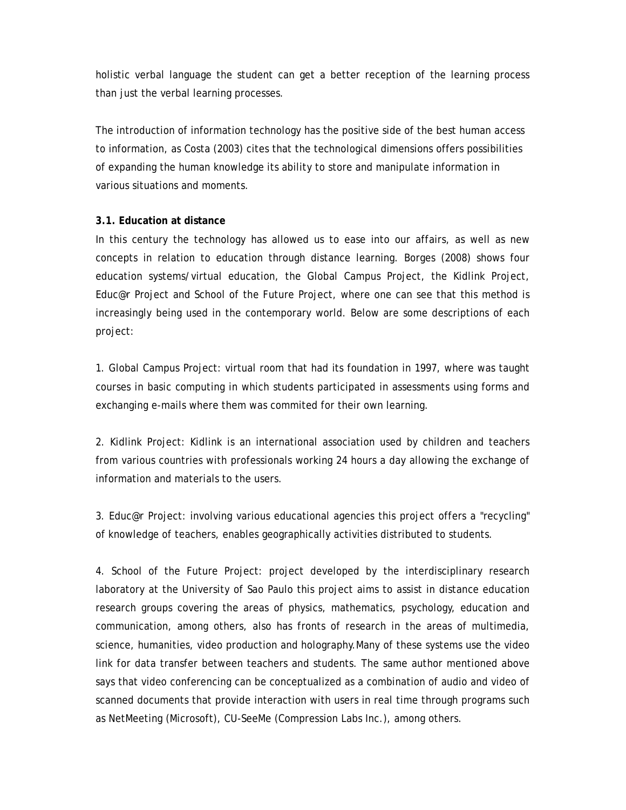holistic verbal language the student can get a better reception of the learning process than just the verbal learning processes.

The introduction of information technology has the positive side of the best human access to information, as Costa (2003) cites that the technological dimensions offers possibilities of expanding the human knowledge its ability to store and manipulate information in various situations and moments.

## **3.1. Education at distance**

In this century the technology has allowed us to ease into our affairs, as well as new concepts in relation to education through distance learning. Borges (2008) shows four education systems/virtual education, the Global Campus Project, the Kidlink Project, Educ@r Project and School of the Future Project, where one can see that this method is increasingly being used in the contemporary world. Below are some descriptions of each project:

1. Global Campus Project: virtual room that had its foundation in 1997, where was taught courses in basic computing in which students participated in assessments using forms and exchanging e-mails where them was commited for their own learning.

2. Kidlink Project: Kidlink is an international association used by children and teachers from various countries with professionals working 24 hours a day allowing the exchange of information and materials to the users.

3. Educ@r Project: involving various educational agencies this project offers a "recycling" of knowledge of teachers, enables geographically activities distributed to students.

4. School of the Future Project: project developed by the interdisciplinary research laboratory at the University of Sao Paulo this project aims to assist in distance education research groups covering the areas of physics, mathematics, psychology, education and communication, among others, also has fronts of research in the areas of multimedia, science, humanities, video production and holography.Many of these systems use the video link for data transfer between teachers and students. The same author mentioned above says that video conferencing can be conceptualized as a combination of audio and video of scanned documents that provide interaction with users in real time through programs such as NetMeeting (Microsoft), CU-SeeMe (Compression Labs Inc.), among others.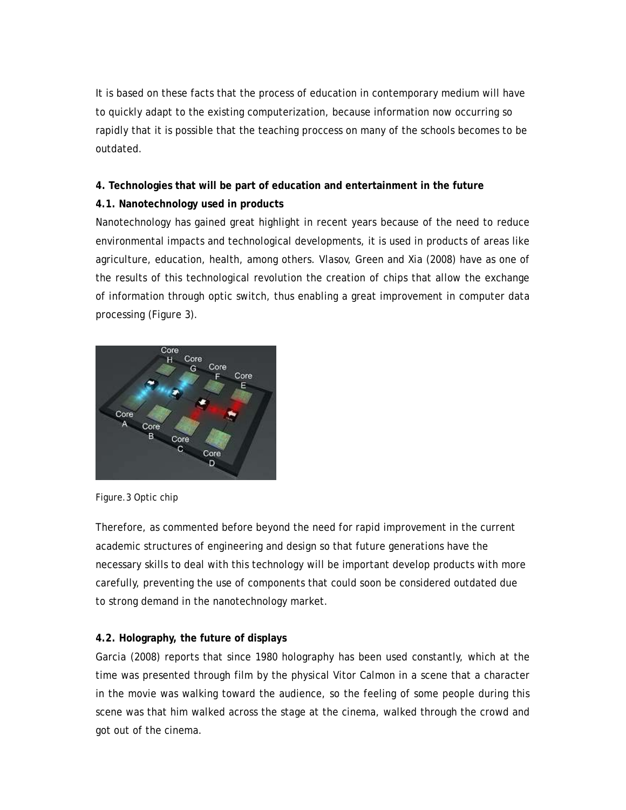It is based on these facts that the process of education in contemporary medium will have to quickly adapt to the existing computerization, because information now occurring so rapidly that it is possible that the teaching proccess on many of the schools becomes to be outdated.

# **4. Technologies that will be part of education and entertainment in the future**

## **4.1. Nanotechnology used in products**

Nanotechnology has gained great highlight in recent years because of the need to reduce environmental impacts and technological developments, it is used in products of areas like agriculture, education, health, among others. Vlasov, Green and Xia (2008) have as one of the results of this technological revolution the creation of chips that allow the exchange of information through optic switch, thus enabling a great improvement in computer data processing (Figure 3).



Figure.3 Optic chip

Therefore, as commented before beyond the need for rapid improvement in the current academic structures of engineering and design so that future generations have the necessary skills to deal with this technology will be important develop products with more carefully, preventing the use of components that could soon be considered outdated due to strong demand in the nanotechnology market.

## **4.2. Holography, the future of displays**

Garcia (2008) reports that since 1980 holography has been used constantly, which at the time was presented through film by the physical Vitor Calmon in a scene that a character in the movie was walking toward the audience, so the feeling of some people during this scene was that him walked across the stage at the cinema, walked through the crowd and got out of the cinema.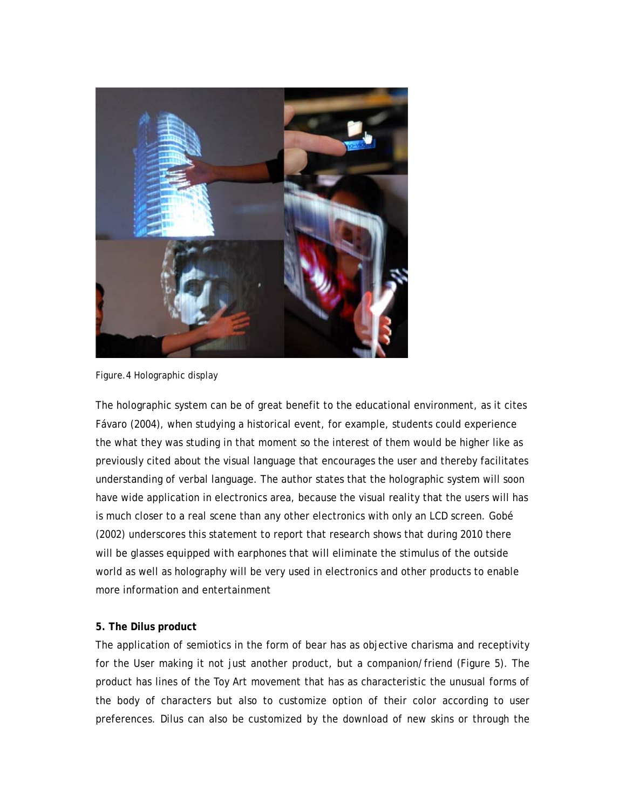

Figure.4 Holographic display

The holographic system can be of great benefit to the educational environment, as it cites Fávaro (2004), when studying a historical event, for example, students could experience the what they was studing in that moment so the interest of them would be higher like as previously cited about the visual language that encourages the user and thereby facilitates understanding of verbal language. The author states that the holographic system will soon have wide application in electronics area, because the visual reality that the users will has is much closer to a real scene than any other electronics with only an LCD screen. Gobé (2002) underscores this statement to report that research shows that during 2010 there will be glasses equipped with earphones that will eliminate the stimulus of the outside world as well as holography will be very used in electronics and other products to enable more information and entertainment

## **5. The Dilus product**

The application of semiotics in the form of bear has as objective charisma and receptivity for the User making it not just another product, but a companion/friend (Figure 5). The product has lines of the Toy Art movement that has as characteristic the unusual forms of the body of characters but also to customize option of their color according to user preferences. Dilus can also be customized by the download of new skins or through the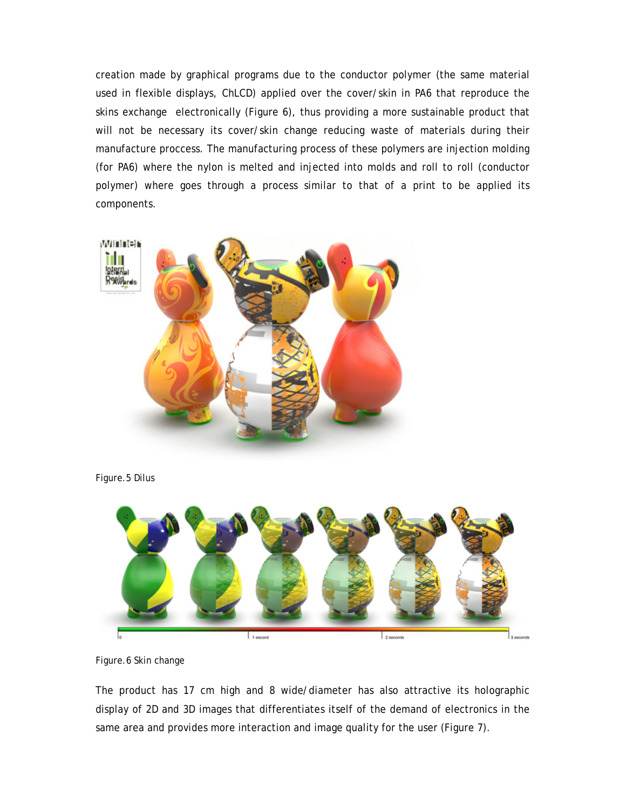creation made by graphical programs due to the conductor polymer (the same material used in flexible displays, ChLCD) applied over the cover/skin in PA6 that reproduce the skins exchange electronically (Figure 6), thus providing a more sustainable product that will not be necessary its cover/skin change reducing waste of materials during their manufacture proccess. The manufacturing process of these polymers are injection molding (for PA6) where the nylon is melted and injected into molds and roll to roll (conductor polymer) where goes through a process similar to that of a print to be applied its components.



Figure.5 Dilus



Figure.6 Skin change

The product has 17 cm high and 8 wide/diameter has also attractive its holographic display of 2D and 3D images that differentiates itself of the demand of electronics in the same area and provides more interaction and image quality for the user (Figure 7).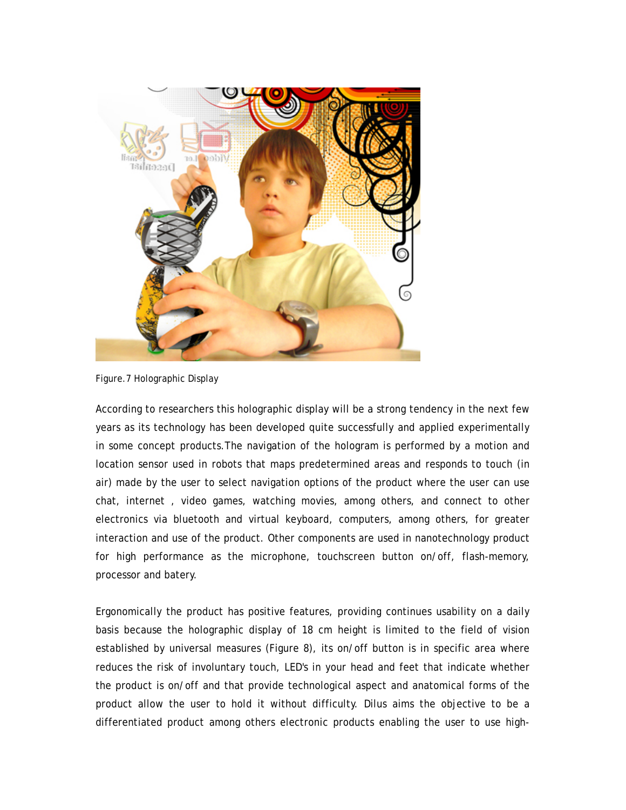

Figure.7 Holographic Display

According to researchers this holographic display will be a strong tendency in the next few years as its technology has been developed quite successfully and applied experimentally in some concept products.The navigation of the hologram is performed by a motion and location sensor used in robots that maps predetermined areas and responds to touch (in air) made by the user to select navigation options of the product where the user can use chat, internet , video games, watching movies, among others, and connect to other electronics via bluetooth and virtual keyboard, computers, among others, for greater interaction and use of the product. Other components are used in nanotechnology product for high performance as the microphone, touchscreen button on/off, flash-memory, processor and batery.

Ergonomically the product has positive features, providing continues usability on a daily basis because the holographic display of 18 cm height is limited to the field of vision established by universal measures (Figure 8), its on/off button is in specific area where reduces the risk of involuntary touch, LED's in your head and feet that indicate whether the product is on/off and that provide technological aspect and anatomical forms of the product allow the user to hold it without difficulty. Dilus aims the objective to be a differentiated product among others electronic products enabling the user to use high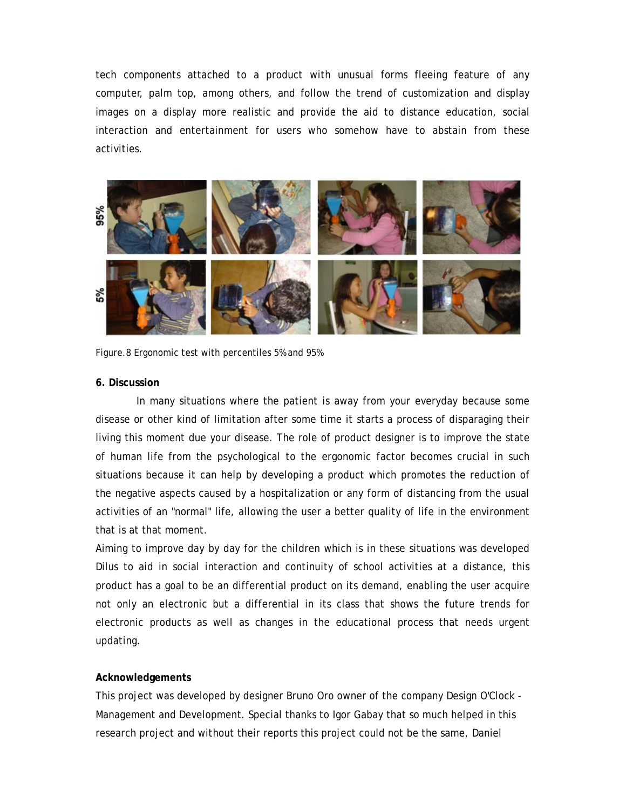tech components attached to a product with unusual forms fleeing feature of any computer, palm top, among others, and follow the trend of customization and display images on a display more realistic and provide the aid to distance education, social interaction and entertainment for users who somehow have to abstain from these activities.



Figure.8 Ergonomic test with percentiles 5% and 95%

#### **6. Discussion**

In many situations where the patient is away from your everyday because some disease or other kind of limitation after some time it starts a process of disparaging their living this moment due your disease. The role of product designer is to improve the state of human life from the psychological to the ergonomic factor becomes crucial in such situations because it can help by developing a product which promotes the reduction of the negative aspects caused by a hospitalization or any form of distancing from the usual activities of an "normal" life, allowing the user a better quality of life in the environment that is at that moment.

Aiming to improve day by day for the children which is in these situations was developed Dilus to aid in social interaction and continuity of school activities at a distance, this product has a goal to be an differential product on its demand, enabling the user acquire not only an electronic but a differential in its class that shows the future trends for electronic products as well as changes in the educational process that needs urgent updating.

#### **Acknowledgements**

This project was developed by designer Bruno Oro owner of the company Design O'Clock - Management and Development. Special thanks to Igor Gabay that so much helped in this research project and without their reports this project could not be the same, Daniel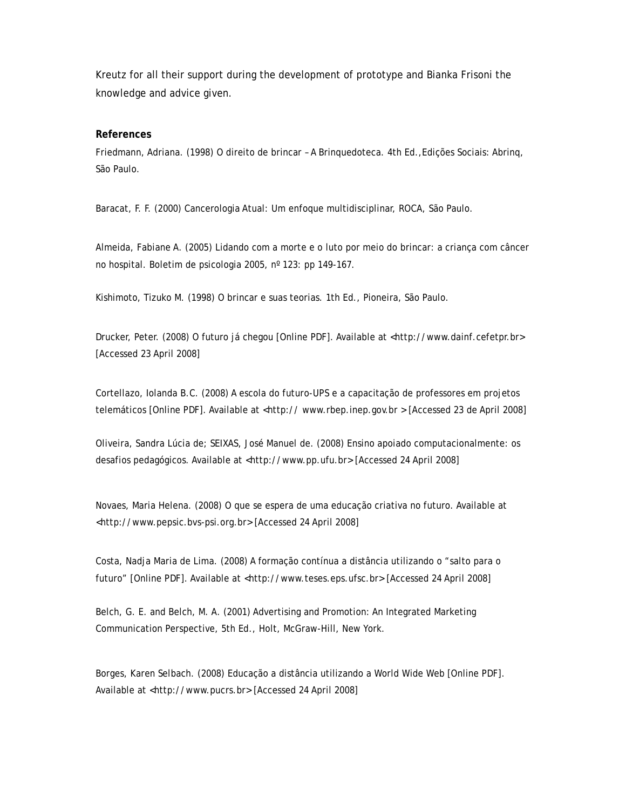Kreutz for all their support during the development of prototype and Bianka Frisoni the knowledge and advice given.

#### **References**

Friedmann, Adriana. (1998) O direito de brincar – A Brinquedoteca. 4th Ed.,Edições Sociais: Abrinq, São Paulo.

Baracat, F. F. (2000) Cancerologia Atual: Um enfoque multidisciplinar, ROCA, São Paulo.

Almeida, Fabiane A. (2005) Lidando com a morte e o luto por meio do brincar: a criança com câncer no hospital. Boletim de psicologia 2005, nº 123: pp 149-167.

Kishimoto, Tizuko M. (1998) O brincar e suas teorias. 1th Ed., Pioneira, São Paulo.

Drucker, Peter. (2008) O futuro já chegou [Online PDF]. Available at <http://www.dainf.cefetpr.br> [Accessed 23 April 2008]

Cortellazo, Iolanda B.C. (2008) A escola do futuro-UPS e a capacitação de professores em projetos telemáticos [Online PDF]. Available at <http:// www.rbep.inep.gov.br > [Accessed 23 de April 2008]

Oliveira, Sandra Lúcia de; SEIXAS, José Manuel de. (2008) Ensino apoiado computacionalmente: os desafios pedagógicos. Available at <http://www.pp.ufu.br> [Accessed 24 April 2008]

Novaes, Maria Helena. (2008) O que se espera de uma educação criativa no futuro. Available at <http://www.pepsic.bvs-psi.org.br> [Accessed 24 April 2008]

Costa, Nadja Maria de Lima. (2008) A formação contínua a distância utilizando o "salto para o futuro" [Online PDF]. Available at <http://www.teses.eps.ufsc.br> [Accessed 24 April 2008]

Belch, G. E. and Belch, M. A. (2001) Advertising and Promotion: An Integrated Marketing Communication Perspective, 5th Ed., Holt, McGraw-Hill, New York.

Borges, Karen Selbach. (2008) Educação a distância utilizando a World Wide Web [Online PDF]. Available at <http://www.pucrs.br> [Accessed 24 April 2008]